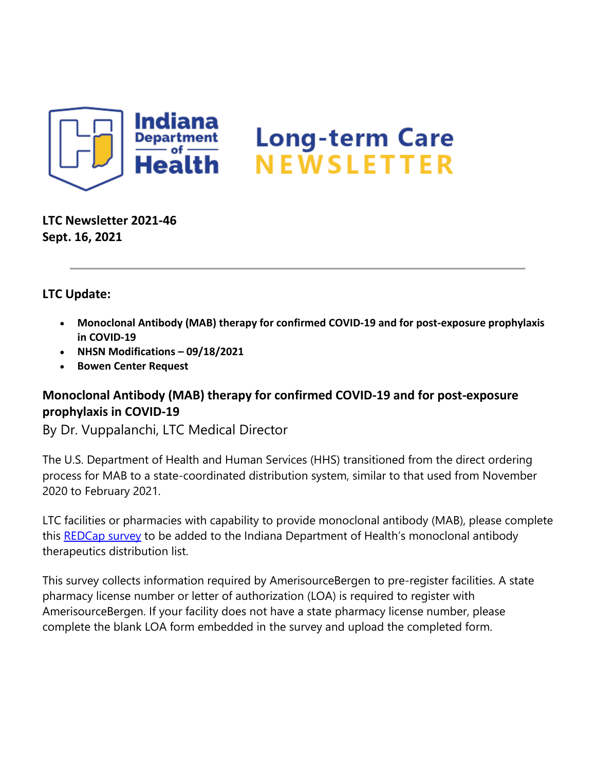

**LTC Newsletter 2021-46 Sept. 16, 2021**

### **LTC Update:**

- **Monoclonal Antibody (MAB) therapy for confirmed COVID-19 and for post-exposure prophylaxis in COVID-19**
- **NHSN Modifications – 09/18/2021**
- **Bowen Center Request**

# **Monoclonal Antibody (MAB) therapy for confirmed COVID-19 and for post-exposure prophylaxis in COVID-19**

By Dr. Vuppalanchi, LTC Medical Director

The U.S. Department of Health and Human Services (HHS) transitioned from the direct ordering process for MAB to a state-coordinated distribution system, similar to that used from November 2020 to February 2021.

LTC facilities or pharmacies with capability to provide monoclonal antibody (MAB), please complete this [REDCap survey](https://redcap.isdh.in.gov/surveys/?s=HWERFEYPJJ) to be added to the Indiana Department of Health's monoclonal antibody therapeutics distribution list.

This survey collects information required by AmerisourceBergen to pre-register facilities. A state pharmacy license number or letter of authorization (LOA) is required to register with AmerisourceBergen. If your facility does not have a state pharmacy license number, please complete the blank LOA form embedded in the survey and upload the completed form.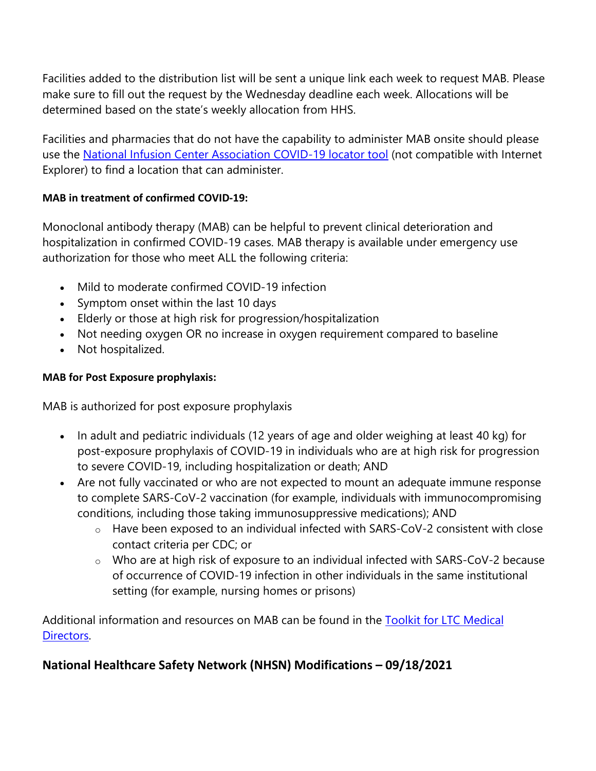Facilities added to the distribution list will be sent a unique link each week to request MAB. Please make sure to fill out the request by the Wednesday deadline each week. Allocations will be determined based on the state's weekly allocation from HHS.

Facilities and pharmacies that do not have the capability to administer MAB onsite should please use the [National Infusion Center Association COVID-19 locator tool](https://protect2.fireeye.com/v1/url?k=87e6c68b-d87dffbc-87e28f8b-86ab8bdaf1e2-7ad1c0f5edbd5e35&q=1&e=53b08cad-6628-4cb8-b3df-c48117bc6b59&u=https%3A%2F%2Fcovid.infusioncenter.org%2F) (not compatible with Internet Explorer) to find a location that can administer.

### **MAB in treatment of confirmed COVID-19:**

Monoclonal antibody therapy (MAB) can be helpful to prevent clinical deterioration and hospitalization in confirmed COVID-19 cases. MAB therapy is available under emergency use authorization for those who meet ALL the following criteria:

- Mild to moderate confirmed COVID-19 infection
- Symptom onset within the last 10 days
- Elderly or those at high risk for progression/hospitalization
- Not needing oxygen OR no increase in oxygen requirement compared to baseline
- Not hospitalized.

#### **MAB for Post Exposure prophylaxis:**

MAB is authorized for post exposure prophylaxis

- In adult and pediatric individuals (12 years of age and older weighing at least 40 kg) for post-exposure prophylaxis of COVID-19 in individuals who are at high risk for progression to severe COVID-19, including hospitalization or death; AND
- Are not fully vaccinated or who are not expected to mount an adequate immune response to complete SARS-CoV-2 vaccination (for example, individuals with immunocompromising conditions, including those taking immunosuppressive medications); AND
	- o Have been exposed to an individual infected with SARS-CoV-2 consistent with close contact criteria per CDC; or
	- o Who are at high risk of exposure to an individual infected with SARS-CoV-2 because of occurrence of COVID-19 infection in other individuals in the same institutional setting (for example, nursing homes or prisons)

Additional information and resources on MAB can be found in the [Toolkit for LTC Medical](https://www.coronavirus.in.gov/files/Toolkit%20for%20LTC%20Medical%20Directors%209.16.21.pdf)  [Directors.](https://www.coronavirus.in.gov/files/Toolkit%20for%20LTC%20Medical%20Directors%209.16.21.pdf)

# **National Healthcare Safety Network (NHSN) Modifications – 09/18/2021**